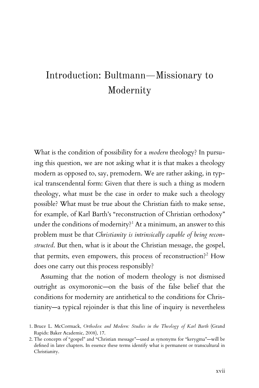## Introduction: Bultmann—Missionary to Modernity

What is the condition of possibility for a *modern* theology? In pursuing this question, we are not asking what it is that makes a theology modern as opposed to, say, premodern. We are rather asking, in typical transcendental form: Given that there is such a thing as modern theology, what must be the case in order to make such a theology possible? What must be true about the Christian faith to make sense, for example, of Karl Barth's "reconstruction of Christian orthodoxy" under the conditions of modernity?<sup>1</sup> At a minimum, an answer to this problem must be that *Christianity is intrinsically capable of being reconstructed*. But then, what is it about the Christian message, the gospel, that permits, even empowers, this process of reconstruction?<sup>2</sup> How does one carry out this process responsibly?

Assuming that the notion of modern theology is not dismissed outright as oxymoronic—on the basis of the false belief that the conditions for modernity are antithetical to the conditions for Christianity—a typical rejoinder is that this line of inquiry is nevertheless

<sup>1.</sup> Bruce L. McCormack, *Orthodox and Modern: Studies in the Theology of Karl Barth* (Grand Rapids: Baker Academic, 2008), 17.

<sup>2.</sup> The concepts of "gospel" and "Christian message"—used as synonyms for "kerygma"—will be defined in later chapters. In essence these terms identify what is permanent or transcultural in Christianity.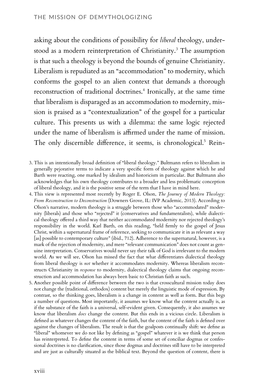asking about the conditions of possibility for *liberal* theology, understood as a modern reinterpretation of Christianity.<sup>3</sup> The assumption is that such a theology is beyond the bounds of genuine Christianity. Liberalism is repudiated as an "accommodation" to modernity, which conforms the gospel to an alien context that demands a thorough reconstruction of traditional doctrines.<sup>4</sup> Ironically, at the same time that liberalism is disparaged as an accommodation to modernity, mission is praised as a "contextualization" of the gospel for a particular culture. This presents us with a dilemma: the same logic rejected under the name of liberalism is affirmed under the name of mission. The only discernible difference, it seems, is chronological.<sup>5</sup> Rein-

- 3. This is an intentionally broad definition of "liberal theology." Bultmann refers to liberalism in generally pejorative terms to indicate a very specific form of theology against which he and Barth were reacting, one marked by idealism and historicism in particular. But Bultmann also acknowledges that his own theology contributes to a broader and less problematic conception of liberal theology, and it is the positive sense of the term that I have in mind here.
- 4. This view is represented most recently by Roger E. Olson, *The Journey of Modern Theology: From Reconstruction to Deconstruction* (Downers Grove, IL: IVP Academic, 2013). According to Olson's narrative, modern theology is a struggle between those who "accommodated" modernity (liberals) and those who "rejected" it (conservatives and fundamentalists), while dialectical theology offered a third way that neither accommodated modernity nor rejected theology's responsibility in the world. Karl Barth, on this reading, "held firmly to the gospel of Jesus Christ, within a supernatural frame of reference, seeking to communicate it in as relevant a way [as] possible to contemporary culture" (ibid., 712). Adherence to the supernatural, however, is a mark of the rejection of modernity, and mere "relevant communication" does not count as genuine interpretation. Conservatives would never say their talk of God is irrelevant to the modern world. As we will see, Olson has missed the fact that what differentiates dialectical theology from liberal theology is *not* whether it accommodates modernity. Whereas liberalism reconstructs Christianity in *response* to modernity, dialectical theology claims that ongoing reconstruction and accommodation has always been basic to Christian faith as such.
- 5. Another possible point of difference between the two is that crosscultural mission today does not change the (traditional, orthodox) content but merely the linguistic mode of expression. By contrast, so the thinking goes, liberalism is a change in content as well as form. But this begs a number of questions. Most importantly, it assumes we know what the content actually is, as if the substance of the faith is a universal, self-evident given. Consequently, it also assumes we know that liberalism *does* change the content. But this ends in a vicious circle. Liberalism is defined as whatever changes the content of the faith, but the content of the faith is defined over against the changes of liberalism. The result is that the goalposts continually shift: we define as "liberal" whomever we do not like by defining as "gospel" whatever it is we think that person has reinterpreted. To define the content in terms of some set of conciliar dogmas or confessional doctrines is no clarification, since those dogmas and doctrines still have to be interpreted and are just as culturally situated as the biblical text. Beyond the question of content, there is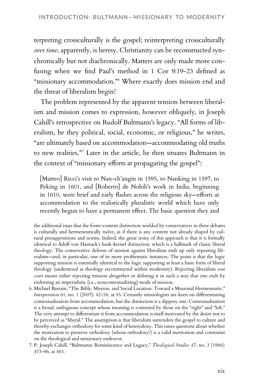terpreting crossculturally is the gospel; reinterpreting crossculturally *over time*, apparently, is heresy. Christianity can be reconstructed synchronically but not diachronically. Matters are only made more confusing when we find Paul's method in 1 Cor 9:19-23 defined as "missionary accommodation."<sup>6</sup> Where exactly does mission end and the threat of liberalism begin?

The problem represented by the apparent tension between liberalism and mission comes to expression, however obliquely, in Joseph Cahill's retrospective on Rudolf Bultmann's legacy. "All forms of liberalism, be they political, social, economic, or religious," he writes, "are ultimately based on accommodation—accommodating old truths to new realities."<sup>7</sup> Later in the article, he then situates Bultmann in the context of "missionary efforts at propagating the gospel":

[Matteo] Ricci's visit to Nan-ch'angin in 1595, to Nanking in 1597, to Peking in 1601, and [Roberto] de Nobili's work in India, beginning in 1610, were brief and early flashes across the religious sky—efforts at accommodation to the realistically pluralistic world which have only recently begun to have a permanent effect. The basic question they and

the additional issue that the form–content distinction wielded by conservatives in these debates is culturally and hermeneutically naïve, as if there is any content not already shaped by cultural presuppositions and norms. Indeed, the great irony of this approach is that it is formally identical to Adolf von Harnack's husk-kernel distinction, which is a hallmark of classic liberal theology. The conservative defense of mission against liberalism ends up only repeating liberalism—and, in particular, one of its more problematic instances. The point is that the logic supporting mission is essentially identical to the logic supporting at least a basic form of liberal theology (understood as theology reconstructed within modernity). Rejecting liberalism *tout court* means either rejecting mission altogether or defining it in such a way that one ends by endorsing an imperialistic (i.e., noncontextualizing) mode of mission.

- 6. Michael Barram, "The Bible, Mission, and Social Location: Toward a Missional Hermeneutic," *Interpretation* 61, no. 1 (2007): 42–58, at 55. Certainly missiologists are keen on differentiating contextualization from accommodation, but the distinction is a slippery one. Contextualization is a broad, ambiguous concept whose meaning is contested by those on the "right" and "left." The very attempt to differentiate it from accommodation is itself motivated by the desire not to be perceived as "liberal." The assumption is that liberalism surrenders the gospel to culture and thereby exchanges orthodoxy for some kind of heterodoxy. This raises questions about whether the motivation to preserve orthodoxy (whose orthodoxy?) is a valid motivation and constraint on the theological and missionary endeavor.
- 7. P. Joseph Cahill, "Bultmann: Reminiscence and Legacy," *Theological Studies* 47, no. 3 (1986): 473–96, at 483.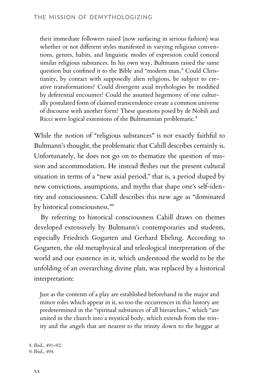their immediate followers raised (now surfacing in serious fashion) was whether or not different styles manifested in varying religious conventions, genres, habits, and linguistic modes of expression could conceal similar religious substances. In his own way, Bultmann raised the same question but confined it to the Bible and "modern man." Could Christianity, by contact with supposedly alien religions, be subject to creative transformations? Could divergent axial mythologies be modified by deferential encounter? Could the assumed hegemony of one culturally postulated form of claimed transcendence create a common universe of discourse with another form? These questions posed by de Nobili and Ricci were logical extensions of the Bultmannian problematic.<sup>8</sup>

While the notion of "religious substances" is not exactly faithful to Bultmann's thought, the problematic that Cahill describes certainly is. Unfortunately, he does not go on to thematize the question of mission and accommodation. He instead fleshes out the present cultural situation in terms of a "new axial period," that is, a period shaped by new convictions, assumptions, and myths that shape one's self-identity and consciousness. Cahill describes this new age as "dominated by historical consciousness."<sup>9</sup>

By referring to historical consciousness Cahill draws on themes developed extensively by Bultmann's contemporaries and students, especially Friedrich Gogarten and Gerhard Ebeling. According to Gogarten, the old metaphysical and teleological interpretation of the world and our existence in it, which understood the world to be the unfolding of an overarching divine plan, was replaced by a historical interpretation:

Just as the contents of a play are established beforehand in the major and minor roles which appear in it, so too the occurrences in this history are predetermined in the "spiritual substances of all hierarchies," which "are united in the church into a mystical body, which extends from the trinity and the angels that are nearest to the trinity down to the beggar at

8. Ibid., 491–92. 9. Ibid., 494.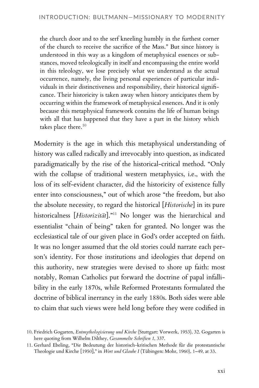the church door and to the serf kneeling humbly in the furthest corner of the church to receive the sacrifice of the Mass." But since history is understood in this way as a kingdom of metaphysical essences or substances, moved teleologically in itself and encompassing the entire world in this teleology, we lose precisely what we understand as the actual occurrence, namely, the living personal experiences of particular individuals in their distinctiveness and responsibility, their historical significance. Their historicity is taken away when history anticipates them by occurring within the framework of metaphysical essences. And it is only because this metaphysical framework contains the life of human beings with all that has happened that they have a part in the history which takes place there.<sup>10</sup>

Modernity is the age in which this metaphysical understanding of history was called radically and irrevocably into question, as indicated paradigmatically by the rise of the historical-critical method. "Only with the collapse of traditional western metaphysics, i.e., with the loss of its self-evident character, did the historicity of existence fully enter into consciousness," out of which arose "the freedom, but also the absolute necessity, to regard the historical [*Historische*] in its pure historicalness [*Historizität*]."<sup>11</sup> No longer was the hierarchical and essentialist "chain of being" taken for granted. No longer was the ecclesiastical tale of our given place in God's order accepted on faith. It was no longer assumed that the old stories could narrate each person's identity. For those institutions and ideologies that depend on this authority, new strategies were devised to shore up faith: most notably, Roman Catholics put forward the doctrine of papal infallibility in the early 1870s, while Reformed Protestants formulated the doctrine of biblical inerrancy in the early 1880s. Both sides were able to claim that such views were held long before they were codified in

<sup>10.</sup> Friedrich Gogarten, *Entmythologisierung und Kirche* (Stuttgart: Vorwerk, 1953), 32. Gogarten is here quoting from Wilhelm Dilthey, *Gesammelte Schriften 1*, 337.

<sup>11.</sup> Gerhard Ebeling, "Die Bedeutung der historisch-kritischen Methode für die protestantische Theologie und Kirche [1950]," in *Wort und Glaube I* (Tübingen: Mohr, 1960), 1–49, at 33.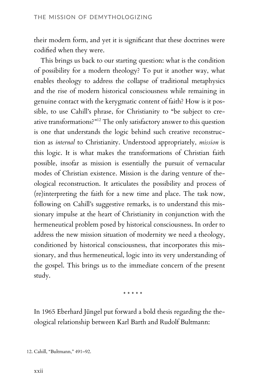their modern form, and yet it is significant that these doctrines were codified when they were.

This brings us back to our starting question: what is the condition of possibility for a modern theology? To put it another way, what enables theology to address the collapse of traditional metaphysics and the rise of modern historical consciousness while remaining in genuine contact with the kerygmatic content of faith? How is it possible, to use Cahill's phrase, for Christianity to "be subject to creative transformations?"<sup>12</sup> The only satisfactory answer to this question is one that understands the logic behind such creative reconstruction as *internal* to Christianity. Understood appropriately, *mission* is this logic. It is what makes the transformations of Christian faith possible, insofar as mission is essentially the pursuit of vernacular modes of Christian existence. Mission is the daring venture of theological reconstruction. It articulates the possibility and process of (re)interpreting the faith for a new time and place. The task now, following on Cahill's suggestive remarks, is to understand this missionary impulse at the heart of Christianity in conjunction with the hermeneutical problem posed by historical consciousness. In order to address the new mission situation of modernity we need a theology, conditioned by historical consciousness, that incorporates this missionary, and thus hermeneutical, logic into its very understanding of the gospel. This brings us to the immediate concern of the present study.

\* \* \* \* \*

In 1965 Eberhard Jüngel put forward a bold thesis regarding the theological relationship between Karl Barth and Rudolf Bultmann:

12. Cahill, "Bultmann," 491–92.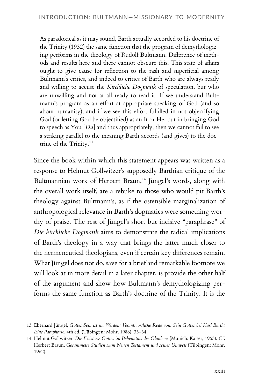As paradoxical as it may sound, Barth actually accorded to his doctrine of the Trinity (1932) the same function that the program of demythologizing performs in the theology of Rudolf Bultmann. Difference of methods and results here and there cannot obscure this. This state of affairs ought to give cause for reflection to the rash and superficial among Bultmann's critics, and indeed to critics of Barth who are always ready and willing to accuse the *Kirchliche Dogmatik* of speculation, but who are unwilling and not at all ready to read it. If we understand Bultmann's program as an effort at appropriate speaking of God (and so about humanity), and if we see this effort fulfilled in not objectifying God (or letting God be objectified) as an It or He, but in bringing God to speech as You [*Du*] and thus appropriately, then we cannot fail to see a striking parallel to the meaning Barth accords (and gives) to the doctrine of the Trinity.<sup>13</sup>

Since the book within which this statement appears was written as a response to Helmut Gollwitzer's supposedly Barthian critique of the Bultmannian work of Herbert Braun,<sup>14</sup> Jüngel's words, along with the overall work itself, are a rebuke to those who would pit Barth's theology against Bultmann's, as if the ostensible marginalization of anthropological relevance in Barth's dogmatics were something worthy of praise. The rest of Jüngel's short but incisive "paraphrase" of *Die kirchliche Dogmatik* aims to demonstrate the radical implications of Barth's theology in a way that brings the latter much closer to the hermeneutical theologians, even if certain key differences remain. What Jüngel does not do, save for a brief and remarkable footnote we will look at in more detail in a later chapter, is provide the other half of the argument and show how Bultmann's demythologizing performs the same function as Barth's doctrine of the Trinity. It is the

<sup>13.</sup> Eberhard Jüngel, *Gottes Sein ist im Werden: Verantwortliche Rede vom Sein Gottes bei Karl Barth: Eine Paraphrase*, 4th ed. (Tübingen: Mohr, 1986), 33–34.

<sup>14.</sup> Helmut Gollwitzer, *Die Existenz Gottes im Bekenntnis des Glaubens* (Munich: Kaiser, 1963). Cf. Herbert Braun, *Gesammelte Studien zum Neuen Testament und seiner Umwelt* (Tübingen: Mohr, 1962).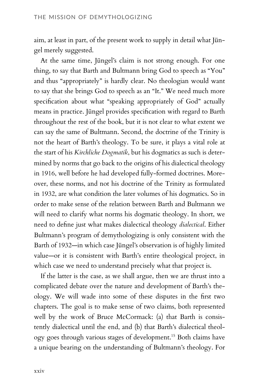aim, at least in part, of the present work to supply in detail what Jüngel merely suggested.

At the same time, Jüngel's claim is not strong enough. For one thing, to say that Barth and Bultmann bring God to speech as "You" and thus "appropriately" is hardly clear. No theologian would want to say that she brings God to speech as an "It." We need much more specification about what "speaking appropriately of God" actually means in practice. Jüngel provides specification with regard to Barth throughout the rest of the book, but it is not clear to what extent we can say the same of Bultmann. Second, the doctrine of the Trinity is not the heart of Barth's theology. To be sure, it plays a vital role at the start of his *Kirchliche Dogmatik*, but his dogmatics as such is determined by norms that go back to the origins of his dialectical theology in 1916, well before he had developed fully-formed doctrines. Moreover, these norms, and not his doctrine of the Trinity as formulated in 1932, are what condition the later volumes of his dogmatics. So in order to make sense of the relation between Barth and Bultmann we will need to clarify what norms his dogmatic theology. In short, we need to define just what makes dialectical theology *dialectical*. Either Bultmann's program of demythologizing is only consistent with the Barth of 1932—in which case Jüngel's observation is of highly limited value—or it is consistent with Barth's entire theological project, in which case we need to understand precisely what that project is.

If the latter is the case, as we shall argue, then we are thrust into a complicated debate over the nature and development of Barth's theology. We will wade into some of these disputes in the first two chapters. The goal is to make sense of two claims, both represented well by the work of Bruce McCormack: (a) that Barth is consistently dialectical until the end, and (b) that Barth's dialectical theology goes through various stages of development.<sup>15</sup> Both claims have a unique bearing on the understanding of Bultmann's theology. For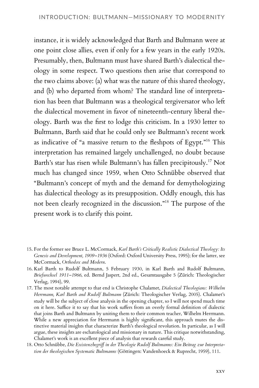instance, it is widely acknowledged that Barth and Bultmann were at one point close allies, even if only for a few years in the early 1920s. Presumably, then, Bultmann must have shared Barth's dialectical theology in some respect. Two questions then arise that correspond to the two claims above: (a) what was the nature of this shared theology, and (b) who departed from whom? The standard line of interpretation has been that Bultmann was a theological tergiversator who left the dialectical movement in favor of nineteenth-century liberal theology. Barth was the first to lodge this criticism. In a 1930 letter to Bultmann, Barth said that he could only see Bultmann's recent work as indicative of "a massive return to the fleshpots of Egypt."<sup>16</sup> This interpretation has remained largely unchallenged, no doubt because Barth's star has risen while Bultmann's has fallen precipitously.<sup>17</sup> Not much has changed since 1959, when Otto Schnübbe observed that "Bultmann's concept of myth and the demand for demythologizing has dialectical theology as its presupposition. Oddly enough, this has not been clearly recognized in the discussion."<sup>18</sup> The purpose of the present work is to clarify this point.

<sup>15.</sup> For the former see Bruce L. McCormack, *Karl Barth's Critically Realistic Dialectical Theology: Its Genesis and Development, 1909–1936* (Oxford: Oxford University Press, 1995); for the latter, see McCormack, *Orthodox and Modern*.

<sup>16.</sup> Karl Barth to Rudolf Bultmann, 5 February 1930, in Karl Barth and Rudolf Bultmann, *Briefwechsel 1911–1966*, ed. Bernd Jaspert, 2nd ed., Gesamtausgabe 5 (Zürich: Theologischer Verlag, 1994), 99.

<sup>17.</sup> The most notable attempt to that end is Christophe Chalamet, *Dialectical Theologians: Wilhelm Herrmann, Karl Barth and Rudolf Bultmann* (Zürich: Theologischer Verlag, 2005). Chalamet's study will be the subject of close analysis in the opening chapter, so I will not spend much time on it here. Suffice it to say that his work suffers from an overly formal definition of dialectic that joins Barth and Bultmann by uniting them to their common teacher, Wilhelm Herrmann. While a new appreciation for Herrmann is highly significant, this approach mutes the distinctive material insights that characterize Barth's theological revolution. In particular, as I will argue, these insights are eschatological and missionary in nature. This critique notwithstanding, Chalamet's work is an excellent piece of analysis that rewards careful study.

<sup>18.</sup> Otto Schnübbe, *Die Existenzbegriff in der Theologie Rudolf Bultmanns: Ein Beitrag zur Interpretation der theologischen Systematic Bultmanns* (Göttingen: Vandenhoeck & Ruprecht, 1959), 111.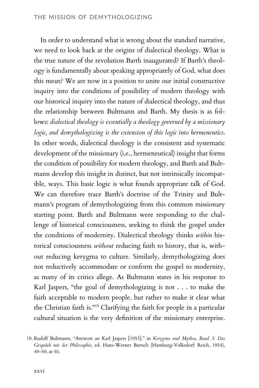In order to understand what is wrong about the standard narrative, we need to look back at the origins of dialectical theology. What is the true nature of the revolution Barth inaugurated? If Barth's theology is fundamentally about speaking appropriately of God, what does this mean? We are now in a position to unite our initial constructive inquiry into the conditions of possibility of modern theology with our historical inquiry into the nature of dialectical theology, and thus the relationship between Bultmann and Barth. My thesis is as follows: *dialectical theology is essentially a theology governed by a missionary logic, and demythologizing is the extension of this logic into hermeneutics*. In other words, dialectical theology is the consistent and systematic development of the missionary (i.e., hermeneutical) insight that forms the condition of possibility for modern theology, and Barth and Bultmann develop this insight in distinct, but not intrinsically incompatible, ways. This basic logic is what founds appropriate talk of God. We can therefore trace Barth's doctrine of the Trinity and Bultmann's program of demythologizing from this common missionary starting point. Barth and Bultmann were responding to the challenge of historical consciousness, seeking to think the gospel under the conditions of modernity. Dialectical theology thinks *within* historical consciousness *without* reducing faith to history, that is, without reducing kerygma to culture. Similarly, demythologizing does not reductively accommodate or conform the gospel to modernity, as many of its critics allege. As Bultmann states in his response to Karl Jaspers, "the goal of demythologizing is not . . . to make the faith acceptable to modern people, but rather to make it clear what the Christian faith is."<sup>19</sup> Clarifying the faith for people in a particular cultural situation is the very definition of the missionary enterprise.

<sup>19.</sup> Rudolf Bultmann, "Antwort an Karl Jaspers [1953]," in *Kerygma und Mythos, Band 3: Das Gespräch mit der Philosophie*, ed. Hans-Werner Bartsch (Hamburg-Volksdorf: Reich, 1954), 49–59, at 50.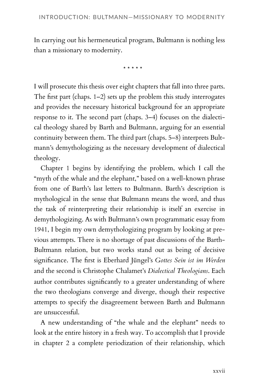In carrying out his hermeneutical program, Bultmann is nothing less than a missionary to modernity.

\* \* \* \* \*

I will prosecute this thesis over eight chapters that fall into three parts. The first part (chaps. 1–2) sets up the problem this study interrogates and provides the necessary historical background for an appropriate response to it. The second part (chaps. 3–4) focuses on the dialectical theology shared by Barth and Bultmann, arguing for an essential continuity between them. The third part (chaps. 5–8) interprets Bultmann's demythologizing as the necessary development of dialectical theology.

Chapter 1 begins by identifying the problem, which I call the "myth of the whale and the elephant," based on a well-known phrase from one of Barth's last letters to Bultmann. Barth's description is mythological in the sense that Bultmann means the word, and thus the task of reinterpreting their relationship is itself an exercise in demythologizing. As with Bultmann's own programmatic essay from 1941, I begin my own demythologizing program by looking at previous attempts. There is no shortage of past discussions of the Barth-Bultmann relation, but two works stand out as being of decisive significance. The first is Eberhard Jüngel's *Gottes Sein ist im Werden* and the second is Christophe Chalamet's *Dialectical Theologians*. Each author contributes significantly to a greater understanding of where the two theologians converge and diverge, though their respective attempts to specify the disagreement between Barth and Bultmann are unsuccessful.

A new understanding of "the whale and the elephant" needs to look at the entire history in a fresh way. To accomplish that I provide in chapter 2 a complete periodization of their relationship, which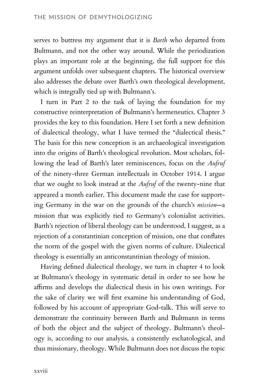serves to buttress my argument that it is *Barth* who departed from Bultmann, and not the other way around. While the periodization plays an important role at the beginning, the full support for this argument unfolds over subsequent chapters. The historical overview also addresses the debate over Barth's own theological development, which is integrally tied up with Bultmann's.

I turn in Part 2 to the task of laying the foundation for my constructive reinterpretation of Bultmann's hermeneutics. Chapter 3 provides the key to this foundation. Here I set forth a new definition of dialectical theology, what I have termed the "dialectical thesis." The basis for this new conception is an archaeological investigation into the origins of Barth's theological revolution. Most scholars, following the lead of Barth's later reminiscences, focus on the *Aufruf* of the ninety-three German intellectuals in October 1914. I argue that we ought to look instead at the *Aufruf* of the twenty-nine that appeared a month earlier. This document made the case for supporting Germany in the war on the grounds of the church's *mission*—a mission that was explicitly tied to Germany's colonialist activities. Barth's rejection of liberal theology can be understood, I suggest, as a rejection of a constantinian conception of mission, one that conflates the norm of the gospel with the given norms of culture. Dialectical theology is essentially an anticonstantinian theology of mission.

Having defined dialectical theology, we turn in chapter 4 to look at Bultmann's theology in systematic detail in order to see how he affirms and develops the dialectical thesis in his own writings. For the sake of clarity we will first examine his understanding of God, followed by his account of appropriate God-talk. This will serve to demonstrate the continuity between Barth and Bultmann in terms of both the object and the subject of theology. Bultmann's theology is, according to our analysis, a consistently eschatological, and thus missionary, theology. While Bultmann does not discuss the topic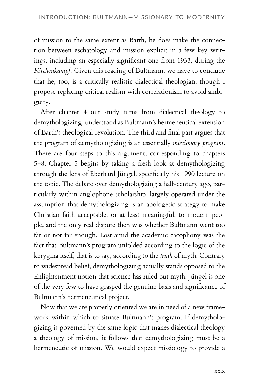of mission to the same extent as Barth, he does make the connection between eschatology and mission explicit in a few key writings, including an especially significant one from 1933, during the *Kirchenkampf*. Given this reading of Bultmann, we have to conclude that he, too, is a critically realistic dialectical theologian, though I propose replacing critical realism with correlationism to avoid ambiguity.

After chapter 4 our study turns from dialectical theology to demythologizing, understood as Bultmann's hermeneutical extension of Barth's theological revolution. The third and final part argues that the program of demythologizing is an essentially *missionary program*. There are four steps to this argument, corresponding to chapters 5–8. Chapter 5 begins by taking a fresh look at demythologizing through the lens of Eberhard Jüngel, specifically his 1990 lecture on the topic. The debate over demythologizing a half-century ago, particularly within anglophone scholarship, largely operated under the assumption that demythologizing is an apologetic strategy to make Christian faith acceptable, or at least meaningful, to modern people, and the only real dispute then was whether Bultmann went too far or not far enough. Lost amid the academic cacophony was the fact that Bultmann's program unfolded according to the logic of the kerygma itself, that is to say, according to the *truth* of myth. Contrary to widespread belief, demythologizing actually stands opposed to the Enlightenment notion that science has ruled out myth. Jüngel is one of the very few to have grasped the genuine basis and significance of Bultmann's hermeneutical project.

Now that we are properly oriented we are in need of a new framework within which to situate Bultmann's program. If demythologizing is governed by the same logic that makes dialectical theology a theology of mission, it follows that demythologizing must be a hermeneutic of mission. We would expect missiology to provide a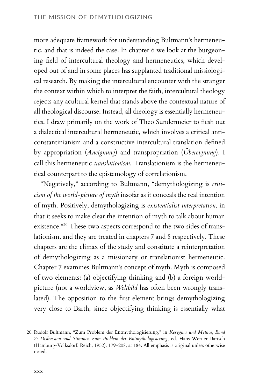more adequate framework for understanding Bultmann's hermeneutic, and that is indeed the case. In chapter 6 we look at the burgeoning field of intercultural theology and hermeneutics, which developed out of and in some places has supplanted traditional missiological research. By making the intercultural encounter with the stranger the context within which to interpret the faith, intercultural theology rejects any acultural kernel that stands above the contextual nature of all theological discourse. Instead, all theology is essentially hermeneutics. I draw primarily on the work of Theo Sundermeier to flesh out a dialectical intercultural hermeneutic, which involves a critical anticonstantinianism and a constructive intercultural translation defined by appropriation (*Aneignung*) and transpropriation (*Übereignung*). I call this hermeneutic *translationism*. Translationism is the hermeneutical counterpart to the epistemology of correlationism.

"Negatively," according to Bultmann, "demythologizing is *criticism of the world-picture of myth* insofar as it conceals the real intention of myth. Positively, demythologizing is *existentialist interpretation*, in that it seeks to make clear the intention of myth to talk about human existence."<sup>20</sup> These two aspects correspond to the two sides of translationism, and they are treated in chapters 7 and 8 respectively. These chapters are the climax of the study and constitute a reinterpretation of demythologizing as a missionary or translationist hermeneutic. Chapter 7 examines Bultmann's concept of myth. Myth is composed of two elements: (a) objectifying thinking and (b) a foreign worldpicture (not a worldview, as *Weltbild* has often been wrongly translated). The opposition to the first element brings demythologizing very close to Barth, since objectifying thinking is essentially what

<sup>20.</sup> Rudolf Bultmann, "Zum Problem der Entmythologisierung," in *Kerygma und Mythos, Band 2: Diskussion und Stimmen zum Problem der Entmythologisierung*, ed. Hans-Werner Bartsch (Hamburg-Volksdorf: Reich, 1952), 179–208, at 184. All emphasis is original unless otherwise noted.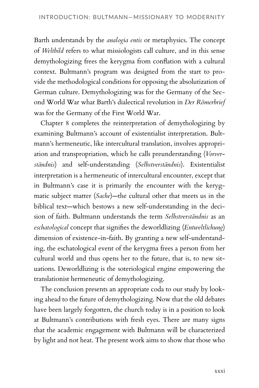Barth understands by the *analogia entis* or metaphysics. The concept of *Weltbild* refers to what missiologists call culture, and in this sense demythologizing frees the kerygma from conflation with a cultural context. Bultmann's program was designed from the start to provide the methodological conditions for opposing the absolutization of German culture. Demythologizing was for the Germany of the Second World War what Barth's dialectical revolution in *Der Römerbrief* was for the Germany of the First World War.

Chapter 8 completes the reinterpretation of demythologizing by examining Bultmann's account of existentialist interpretation. Bultmann's hermeneutic, like intercultural translation, involves appropriation and transpropriation, which he calls preunderstanding (*Vorverständnis*) and self-understanding (*Selbstverständnis*). Existentialist interpretation is a hermeneutic of intercultural encounter, except that in Bultmann's case it is primarily the encounter with the kerygmatic subject matter (*Sache*)—the cultural other that meets us in the biblical text—which bestows a new self-understanding in the decision of faith. Bultmann understands the term *Selbstverständnis* as an *eschatological* concept that signifies the deworldlizing (*Entweltlichung*) dimension of existence-in-faith. By granting a new self-understanding, the eschatological event of the kerygma frees a person from her cultural world and thus opens her to the future, that is, to new situations. Deworldlizing is the soteriological engine empowering the translationist hermeneutic of demythologizing.

The conclusion presents an appropriate coda to our study by looking ahead to the future of demythologizing. Now that the old debates have been largely forgotten, the church today is in a position to look at Bultmann's contributions with fresh eyes. There are many signs that the academic engagement with Bultmann will be characterized by light and not heat. The present work aims to show that those who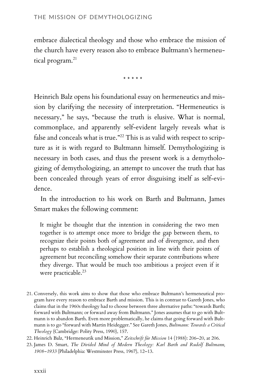embrace dialectical theology and those who embrace the mission of the church have every reason also to embrace Bultmann's hermeneutical program.<sup>21</sup>

\* \* \* \* \*

Heinrich Balz opens his foundational essay on hermeneutics and mission by clarifying the necessity of interpretation. "Hermeneutics is necessary," he says, "because the truth is elusive. What is normal, commonplace, and apparently self-evident largely reveals what is false and conceals what is true."<sup>22</sup> This is as valid with respect to scripture as it is with regard to Bultmann himself. Demythologizing is necessary in both cases, and thus the present work is a demythologizing of demythologizing, an attempt to uncover the truth that has been concealed through years of error disguising itself as self-evidence.

In the introduction to his work on Barth and Bultmann, James Smart makes the following comment:

It might be thought that the intention in considering the two men together is to attempt once more to bridge the gap between them, to recognize their points both of agreement and of divergence, and then perhaps to establish a theological position in line with their points of agreement but reconciling somehow their separate contributions where they diverge. That would be much too ambitious a project even if it were practicable.<sup>23</sup>

- 21. Conversely, this work aims to show that those who embrace Bultmann's hermeneutical program have every reason to embrace Barth and mission. This is in contrast to Gareth Jones, who claims that in the 1960s theology had to choose between three alternative paths: "towards Barth; forward with Bultmann; or forward away from Bultmann." Jones assumes that to go with Bultmann is to abandon Barth. Even more problematically, he claims that going forward with Bultmann is to go "forward with Martin Heidegger." See Gareth Jones, *Bultmann: Towards a Critical Theology* (Cambridge: Polity Press, 1990), 157.
- 22. Heinrich Balz, "Hermeneutik und Mission," *Zeitschrift für Mission* 14 (1988): 206–20, at 206.
- 23. James D. Smart, *The Divided Mind of Modern Theology: Karl Barth and Rudolf Bultmann, 1908–1933* (Philadelphia: Westminster Press, 1967), 12–13.